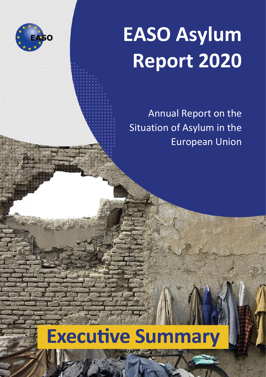

# **EASO Asylum Report 2020**

Annual Report on the Situation of Asylum in the European Union

## **Executive Summary**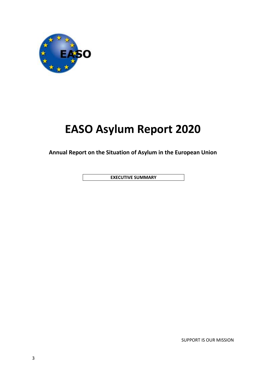

## **EASO Asylum Report 2020**

**Annual Report on the Situation of Asylum in the European Union**

**EXECUTIVE SUMMARY**

SUPPORT IS OUR MISSION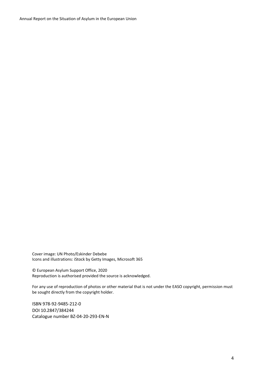Cover image: UN Photo/Eskinder Debebe Icons and illustrations: iStock by Getty Images, Microsoft 365

© European Asylum Support Office, 2020 Reproduction is authorised provided the source is acknowledged.

For any use of reproduction of photos or other material that is not under the EASO copyright, permission must be sought directly from the copyright holder.

ISBN 978-92-9485-212-0 DOI 10.2847/384244 Catalogue number BZ-04-20-293-EN-N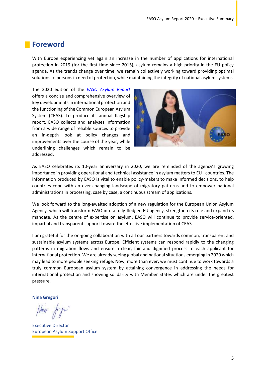### **Foreword**

With Europe experiencing yet again an increase in the number of applications for international protection in 2019 (for the first time since 2015), asylum remains a high priority in the EU policy agenda. As the trends change over time, we remain collectively working toward providing optimal solutions to persons in need of protection, while maintaining the integrity of national asylum systems.

The 2020 edition of the *[EASO Asylum Report](https://easo.europa.eu/asylum-report)* offers a concise and comprehensive overview of key developments in international protection and the functioning of the Common European Asylum System (CEAS). To produce its annual flagship report, EASO collects and analyses information from a wide range of reliable sources to provide an in‐depth look at policy changes and improvements over the course of the year, while underlining challenges which remain to be addressed.



As EASO celebrates its 10-year anniversary in 2020, we are reminded of the agency's growing importance in providing operational and technical assistance in asylum matters to EU+ countries. The information produced by EASO is vital to enable policy-makers to make informed decisions, to help countries cope with an ever-changing landscape of migratory patterns and to empower national administrations in processing, case by case, a continuous stream of applications.

We look forward to the long-awaited adoption of a new regulation for the European Union Asylum Agency, which will transform EASO into a fully-fledged EU agency, strengthen its role and expand its mandate. As the centre of expertise on asylum, EASO will continue to provide service-oriented, impartial and transparent support toward the effective implementation of CEAS.

I am grateful for the on-going collaboration with all our partners towards common, transparent and sustainable asylum systems across Europe. Efficient systems can respond rapidly to the changing patterns in migration flows and ensure a clear, fair and dignified process to each applicant for international protection. We are already seeing global and national situations emerging in 2020 which may lead to more people seeking refuge. Now, more than ever, we must continue to work towards a truly common European asylum system by attaining convergence in addressing the needs for international protection and showing solidarity with Member States which are under the greatest pressure.

**Nina Gregori**

Nu4 fry

Executive Director European Asylum Support Office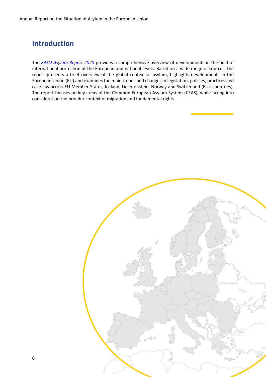## **Introduction**

The *[EASO Asylum Report 2020](https://easo.europa.eu/asylum-report)* provides a comprehensive overview of developments in the field of international protection at the European and national levels. Based on a wide range of sources, the report presents a brief overview of the global context of asylum, highlights developments in the European Union (EU) and examines the main trends and changes in legislation, policies, practices and case law across EU Member States, Iceland, Liechtenstein, Norway and Switzerland (EU+ countries). The report focuses on key areas of the Common European Asylum System (CEAS), while taking into consideration the broader context of migration and fundamental rights.

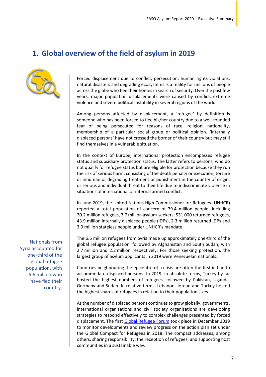## **1. Global overview of the field of asylum in 2019**



Forced displacement due to conflict, persecution, human rights violations, natural disasters and degrading ecosystems is a reality for millions of people across the globe who flee their homes in search of security. Over the past few years, major population displacements were caused by conflict, extreme violence and severe political instability in several regions of the world.

Among persons affected by displacement, a 'refugee' by definition is someone who has been forced to flee his/her country due to a well-founded fear of being persecuted for reasons of race, religion, nationality, membership of a particular social group or political opinion. 'Internally displaced persons' have not crossed the border of their country but may still find themselves in a vulnerable situation.

In the context of Europe, international protection encompasses refugee status and subsidiary protection status. The latter refers to persons, who do not qualify for refugee status but are eligible for protection because they run the risk of serious harm, consisting of the death penalty or execution; torture or inhuman or degrading treatment or punishment in the country of origin; or serious and individual threat to their life due to indiscriminate violence in situations of international or internal armed conflict.

In June 2019, the United Nations High Commissioner for Refugees (UNHCR) reported a total population of concern of 79.4 million people, including 20.2 million refugees, 3.7 million asylum-seekers, 531 000 returned refugees, 43.9 million internally displaced people (IDPs), 2.3 million returned IDPs and 3.9 million stateless people under UNHCR's mandate.

The 6.6 million refugees from Syria made up approximately one-third of the global refugee population, followed by Afghanistan and South Sudan, with 2.7 million and 2.2 million respectively. For those seeking protection, the largest group of asylum applicants in 2019 were Venezuelan nationals.

Countries neighbouring the epicentre of a crisis are often the first in line to accommodate displaced persons. In 2019, in absolute terms, Turkey by far hosted the highest numbers of refugees, followed by Pakistan, Uganda, Germany and Sudan. In relative terms, Lebanon, Jordan and Turkey hosted the highest shares of refugees in relation to their population sizes.

As the number of displaced persons continues to grow globally, governments, international organisations and civil society organisations are developing strategies to respond effectively to complex challenges presented by forced displacement. The first [Global Refugee Forum](https://www.unhcr.org/global-refugee-forum.html) took place in December 2019 to monitor developments and review progress on the action plan set under the Global Compact for Refugees in 2018. The compact addresses, among others, sharing responsibility, the reception of refugees, and supporting host communities in a sustainable way.

Nationals from Syria accounted for one-third of the global refugee population, with 6.6 million who have fled their country.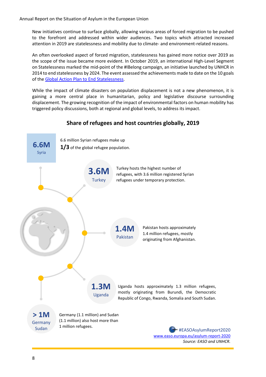New initiatives continue to surface globally, allowing various areas of forced migration to be pushed to the forefront and addressed within wider audiences. Two topics which attracted increased attention in 2019 are statelessness and mobility due to climate- and environment-related reasons.

An often overlooked aspect of forced migration, statelessness has gained more notice over 2019 as the scope of the issue became more evident. In October 2019, an international High-Level Segment on Statelessness marked the mid-point of the #IBelong campaign, an initiative launched by UNHCR in 2014 to end statelessness by 2024. The event assessed the achievements made to date on the 10 goals of the [Global Action Plan to End Statelessness.](https://resourcecentre.savethechildren.net/library/global-action-plan-end-statelessness-2014-24)

While the impact of climate disasters on population displacement is not a new phenomenon, it is gaining a more central place in humanitarian, policy and legislative discourse surrounding displacement. The growing recognition of the impact of environmental factors on human mobility has triggered policy discussions, both at regional and global levels, to address its impact.

### **Share of refugees and host countries globally, 2019**



*Source: EASO and UNHCR.* 

 $\overline{1}$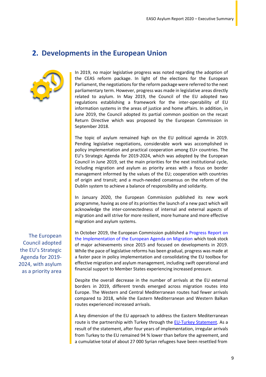## **2. Developments in the European Union**



In 2019, no major legislative progress was noted regarding the adoption of the CEAS reform package. In light of the elections for the European Parliament, the negotiations for the reform package were referred to the next parliamentary term. However, progress was made in legislative areas directly related to asylum. In May 2019, the Council of the EU adopted two regulations establishing a framework for the inter-operability of EU information systems in the areas of justice and home affairs. In addition, in June 2019, the Council adopted its partial common position on the recast Return Directive which was proposed by the European Commission in September 2018.

The topic of asylum remained high on the EU political agenda in 2019. Pending legislative negotiations, considerable work was accomplished in policy implementation and practical cooperation among EU+ countries. The EU's Strategic Agenda for 2019-2024, which was adopted by the European Council in June 2019, set the main priorities for the next institutional cycle, including migration and asylum as priority areas with a focus on border management informed by the values of the EU; cooperation with countries of origin and transit; and a much-needed consensus on the reform of the Dublin system to achieve a balance of responsibility and solidarity.

In January 2020, the European Commission published its new work programme, having as one of its priorities the launch of a new pact which will acknowledge the inter-connectedness of internal and external aspects of migration and will strive for more resilient, more humane and more effective migration and asylum systems.

In October 2019, the European Commission published a [Progress Report on](https://ec.europa.eu/home-affairs/sites/homeaffairs/files/what-we-do/policies/european-agenda-migration/20191016_com-2019-481-report_en.pdf)  [the Implementation of the European Agenda on Migration](https://ec.europa.eu/home-affairs/sites/homeaffairs/files/what-we-do/policies/european-agenda-migration/20191016_com-2019-481-report_en.pdf) which took stock of major achievements since 2015 and focused on developments in 2019. While the pace of legislative reforms has been gradual, progress was made at a faster pace in policy implementation and consolidating the EU toolbox for effective migration and asylum management, including swift operational and financial support to Member States experiencing increased pressure.

Despite the overall decrease in the number of arrivals at the EU external borders in 2019, different trends emerged across migration routes into Europe. The Western and Central Mediterranean routes had fewer arrivals compared to 2018, while the Eastern Mediterranean and Western Balkan routes experienced increased arrivals.

A key dimension of the EU approach to address the Eastern Mediterranean route is the partnership with Turkey through the **EU-Turkey Statement**. As a result of the statement, after four years of implementation, irregular arrivals from Turkey to the EU remained 94 % lower than before the agreement, and a cumulative total of about 27 000 Syrian refugees have been resettled from

The European Council adopted the EU's Strategic Agenda for 2019- 2024, with asylum as a priority area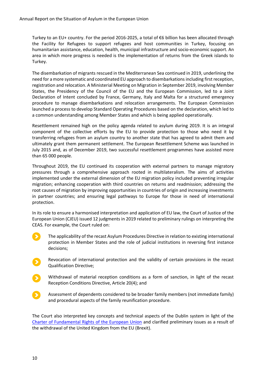Turkey to an EU+ country. For the period 2016-2025, a total of €6 billion has been allocated through the Facility for Refugees to support refugees and host communities in Turkey, focusing on humanitarian assistance, education, health, municipal infrastructure and socio-economic support. An area in which more progress is needed is the implementation of returns from the Greek islands to Turkey.

The disembarkation of migrants rescued in the Mediterranean Sea continued in 2019, underlining the need for a more systematic and coordinated EU approach to disembarkations including first reception, registration and relocation. A Ministerial Meeting on Migration in September 2019, involving Member States, the Presidency of the Council of the EU and the European Commission, led to a Joint Declaration of Intent concluded by France, Germany, Italy and Malta for a structured emergency procedure to manage disembarkations and relocation arrangements. The European Commission launched a process to develop Standard Operating Procedures based on the declaration, which led to a common understanding among Member States and which is being applied operationally.

Resettlement remained high on the policy agenda related to asylum during 2019. It is an integral component of the collective efforts by the EU to provide protection to those who need it by transferring refugees from an asylum country to another state that has agreed to admit them and ultimately grant them permanent settlement. The European Resettlement Scheme was launched in July 2015 and, as of December 2019, two successful resettlement programmes have assisted more than 65 000 people.

Throughout 2019, the EU continued its cooperation with external partners to manage migratory pressures through a comprehensive approach rooted in multilateralism. The aims of activities implemented under the external dimension of the EU migration policy included preventing irregular migration; enhancing cooperation with third countries on returns and readmission; addressing the root causes of migration by improving opportunities in countries of origin and increasing investments in partner countries; and ensuring legal pathways to Europe for those in need of international protection.

In its role to ensure a harmonised interpretation and application of EU law, the Court of Justice of the European Union (CJEU) issued 12 judgments in 2019 related to preliminary rulings on interpreting the CEAS. For example, the Court ruled on:

- The applicability of the recast Asylum Procedures Directive in relation to existing international protection in Member States and the role of judicial institutions in reversing first instance decisions;
- Revocation of international protection and the validity of certain provisions in the recast Qualification Directive;
- Withdrawal of material reception conditions as a form of sanction, in light of the recast Reception Conditions Directive, Article 20(4); and
- Assessment of dependents considered to be broader family members (not immediate family) and procedural aspects of the family reunification procedure.

The Court also interpreted key concepts and technical aspects of the Dublin system in light of the [Charter of Fundamental Rights of the European Union](https://eur-lex.europa.eu/legal-content/EN/TXT/PDF/?uri=CELEX:12012P/TXT&from=EN) and clarified preliminary issues as a result of the withdrawal of the United Kingdom from the EU (Brexit).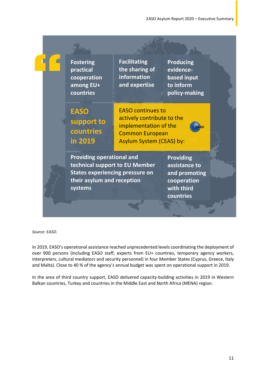|  | <b>Fostering</b><br>practical<br>cooperation<br>among EU+<br>countries                                                                                | <b>Facilitating</b><br>the sharing of<br>information<br>and expertise                                                                 | <b>Producing</b><br>evidence-<br>based input<br>to inform<br>policy-making                   |  |
|--|-------------------------------------------------------------------------------------------------------------------------------------------------------|---------------------------------------------------------------------------------------------------------------------------------------|----------------------------------------------------------------------------------------------|--|
|  | <b>EASO</b><br>support to<br>countries<br>in 2019                                                                                                     | <b>EASO continues to</b><br>actively contribute to the<br>implementation of the<br><b>Common European</b><br>Asylum System (CEAS) by: |                                                                                              |  |
|  | <b>Providing operational and</b><br>technical support to EU Member<br><b>States experiencing pressure on</b><br>their asylum and reception<br>systems |                                                                                                                                       | <b>Providing</b><br>assistance to<br>and promoting<br>cooperation<br>with third<br>countries |  |
|  |                                                                                                                                                       |                                                                                                                                       |                                                                                              |  |

*Source: EASO.*

In 2019, EASO's operational assistance reached unprecedented levels coordinating the deployment of over 900 persons (including EASO staff, experts from EU+ countries, temporary agency workers, interpreters, cultural mediators and security personnel) in four Member States (Cyprus, Greece, Italy and Malta). Close to 40 % of the agency's annual budget was spent on operational support in 2019.

In the area of third country support, EASO delivered capacity-building activities in 2019 in Western Balkan countries, Turkey and countries in the Middle East and North Africa (MENA) region.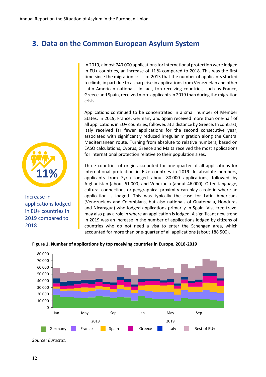## **3. Data on the Common European Asylum System**

In 2019, almost 740 000 applications for international protection were lodged in EU+ countries, an increase of 11 % compared to 2018. This was the first time since the migration crisis of 2015 that the number of applicants started to climb, in part due to a sharp rise in applications from Venezuelan and other Latin American nationals. In fact, top receiving countries, such as France, Greece and Spain, received more applicants in 2019 than during the migration crisis.

Applications continued to be concentrated in a small number of Member States. In 2019, France, Germany and Spain received more than one-half of all applications in EU+ countries, followed at a distance by Greece. In contrast, Italy received far fewer applications for the second consecutive year, associated with significantly reduced irregular migration along the Central Mediterranean route. Turning from absolute to relative numbers, based on EASO calculations, Cyprus, Greece and Malta received the most applications for international protection relative to their population sizes.

Three countries of origin accounted for one-quarter of all applications for international protection in EU+ countries in 2019. In absolute numbers, applicants from Syria lodged about 80 000 applications, followed by Afghanistan (about 61 000) and Venezuela (about 46 000). Often language, cultural connections or geographical proximity can play a role in where an application is lodged. This was typically the case for Latin Americans (Venezuelans and Colombians, but also nationals of Guatemala, Honduras and Nicaragua) who lodged applications primarily in Spain. Visa-free travel may also play a role in where an application is lodged. A significant new trend in 2019 was an increase in the number of applications lodged by citizens of countries who do not need a visa to enter the Schengen area, which accounted for more than one-quarter of all applications (about 188 500).



**Figure 1. Number of applications by top receiving countries in Europe, 2018-2019** 



Increase in applications lodged in EU+ countries in 2019 compared to 2018

*Source: Eurostat.*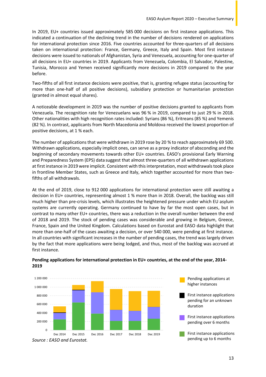In 2019, EU+ countries issued approximately 585 000 decisions on first instance applications. This indicated a continuation of the declining trend in the number of decisions rendered on applications for international protection since 2016. Five countries accounted for three-quarters of all decisions taken on international protection: France, Germany, Greece, Italy and Spain. Most first instance decisions were issued to nationals of Afghanistan, Syria and Venezuela, accounting for one-quarter of all decisions in EU+ countries in 2019. Applicants from Venezuela, Colombia, El Salvador, Palestine, Tunisia, Morocco and Yemen received significantly more decisions in 2019 compared to the year before.

Two-fifths of all first instance decisions were positive, that is, granting refugee status (accounting for more than one-half of all positive decisions), subsidiary protection or humanitarian protection (granted in almost equal shares).

A noticeable development in 2019 was the number of positive decisions granted to applicants from Venezuela. The recognition rate for Venezuelans was 96 % in 2019, compared to just 29 % in 2018. Other nationalities with high recognition rates included: Syrians (86 %), Eritreans (85 %) and Yemenis (82 %). In contrast, applicants from North Macedonia and Moldova received the lowest proportion of positive decisions, at 1 % each.

The number of applications that were withdrawn in 2019 rose by 20 % to reach approximately 69 500. Withdrawn applications, especially implicit ones, can serve as a proxy indicator of absconding and the beginning of secondary movements towards other EU+ countries. EASO's provisional Early Warning and Preparedness System (EPS) data suggest that almost three-quarters of all withdrawn applications at first instance in 2019 were implicit. Consistent with this interpretation, most withdrawals took place in frontline Member States, such as Greece and Italy, which together accounted for more than twofifths of all withdrawals.

At the end of 2019, close to 912 000 applications for international protection were still awaiting a decision in EU+ countries, representing almost 1 % more than in 2018. Overall, the backlog was still much higher than pre-crisis levels, which illustrates the heightened pressure under which EU asylum systems are currently operating. Germany continued to have by far the most open cases, but in contrast to many other EU+ countries, there was a reduction in the overall number between the end of 2018 and 2019. The stock of pending cases was considerable and growing in Belgium, Greece, France, Spain and the United Kingdom. Calculations based on Eurostat and EASO data highlight that more than one-half of the cases awaiting a decision, or over 540 000, were pending at first instance. In all countries with significant increases in the number of pending cases, the trend was largely driven by the fact that more applications were being lodged, and thus, most of the backlog was accrued at first instance.



#### **Pending applications for international protection in EU+ countries, at the end of the year, 2014- 2019**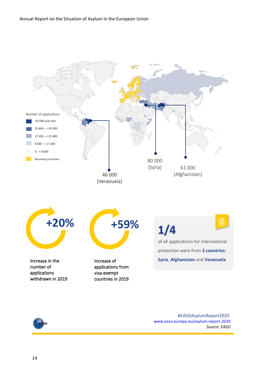



 #EASOAsylumReport2020 [www.easo.europa.eu/asylum-report-2020](http://www.easo.europa.eu/asylum-report-2020) *Source: EASO*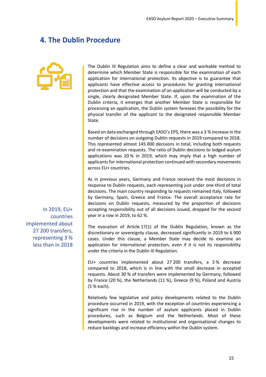## **4. The Dublin Procedure**



The Dublin III Regulation aims to define a clear and workable method to determine which Member State is responsible for the examination of each application for international protection. Its objective is to guarantee that applicants have effective access to procedures for granting international protection and that the examination of an application will be conducted by a single, clearly designated Member State. If, upon the examination of the Dublin criteria, it emerges that another Member State is responsible for processing an application, the Dublin system foresees the possibility for the physical transfer of the applicant to the designated responsible Member State.

Based on data exchanged through EASO's EPS, there was a 3 % increase in the number of decisions on outgoing Dublin requests in 2019 compared to 2018. This represented almost 145 000 decisions in total, including both requests and re-examination requests. The ratio of Dublin decisions to lodged asylum applications was 20 % in 2019, which may imply that a high number of applicants for international protection continued with secondary movements across EU+ countries.

As in previous years, Germany and France received the most decisions in response to Dublin requests, each representing just under one-third of total decisions. The main country responding to requests remained Italy, followed by Germany, Spain, Greece and France. The overall acceptance rate for decisions on Dublin requests, measured by the proportion of decisions accepting responsibility out of all decisions issued, dropped for the second year in a row in 2019, to 62 %.

The evocation of Article 17(1) of the Dublin Regulation, known as the discretionary or sovereignty clause, decreased significantly in 2019 to 6 900 cases. Under this clause, a Member State may decide to examine an application for international protection, even if it is not its responsibility under the criteria in the Dublin III Regulation.

EU+ countries implemented about 27 200 transfers, a 3 % decrease compared to 2018, which is in line with the small decrease in accepted requests. About 30 % of transfers were implemented by Germany, followed by France (20 %), the Netherlands (11 %), Greece (9 %), Poland and Austria (5 % each).

Relatively few legislative and policy developments related to the Dublin procedure occurred in 2019, with the exception of countries experiencing a significant rise in the number of asylum applicants placed in Dublin procedures, such as Belgium and the Netherlands. Most of these developments were related to institutional and organisational changes to reduce backlogs and increase efficiency within the Dublin system.

In 2019, EU+ countries implemented about 27 200 transfers, representing 3 % less than in 2018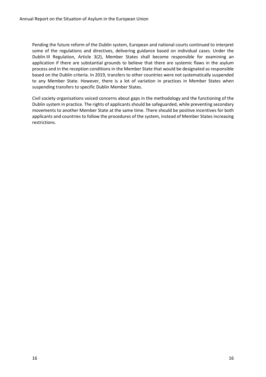Pending the future reform of the Dublin system, European and national courts continued to interpret some of the regulations and directives, delivering guidance based on individual cases. Under the Dublin III Regulation, Article 3(2), Member States shall become responsible for examining an application if there are substantial grounds to believe that there are systemic flaws in the asylum process and in the reception conditions in the Member State that would be designated as responsible based on the Dublin criteria. In 2019, transfers to other countries were not systematically suspended to any Member State. However, there is a lot of variation in practices in Member States when suspending transfers to specific Dublin Member States.

Civil society organisations voiced concerns about gaps in the methodology and the functioning of the Dublin system in practice. The rights of applicants should be safeguarded, while preventing secondary movements to another Member State at the same time. There should be positive incentives for both applicants and countries to follow the procedures of the system, instead of Member States increasing restrictions.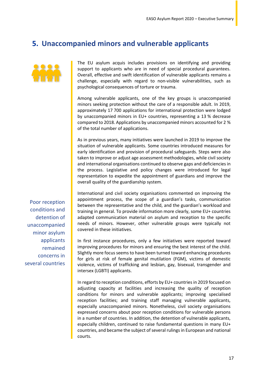## **5. Unaccompanied minors and vulnerable applicants**



The EU asylum acquis includes provisions on identifying and providing support to applicants who are in need of special procedural guarantees. Overall, effective and swift identification of vulnerable applicants remains a challenge, especially with regard to non-visible vulnerabilities, such as psychological consequences of torture or trauma.

Among vulnerable applicants, one of the key groups is unaccompanied minors seeking protection without the care of a responsible adult. In 2019, approximately 17 700 applications for international protection were lodged by unaccompanied minors in EU+ countries, representing a 13 % decrease compared to 2018. Applications by unaccompanied minors accounted for 2 % of the total number of applications.

As in previous years, many initiatives were launched in 2019 to improve the situation of vulnerable applicants. Some countries introduced measures for early identification and provision of procedural safeguards. Steps were also taken to improve or adjust age assessment methodologies, while civil society and international organisations continued to observe gaps and deficiencies in the process. Legislative and policy changes were introduced for legal representation to expedite the appointment of guardians and improve the overall quality of the guardianship system.

International and civil society organisations commented on improving the appointment process, the scope of a guardian's tasks, communication between the representative and the child, and the guardian's workload and training in general. To provide information more clearly, some EU+ countries adapted communication material on asylum and reception to the specific needs of minors. However, other vulnerable groups were typically not covered in these initiatives.

In first instance procedures, only a few initiatives were reported toward improving procedures for minors and ensuring the best interest of the child. Slightly more focus seems to have been turned toward enhancing procedures for girls at risk of female genital mutilation (FGM), victims of domestic violence, victims of trafficking and lesbian, gay, bisexual, transgender and intersex (LGBTI) applicants.

In regard to reception conditions, efforts by EU+ countries in 2019 focused on adjusting capacity at facilities and increasing the quality of reception conditions for minors and vulnerable applicants; improving specialised reception facilities; and training staff managing vulnerable applicants, especially unaccompanied minors. Nonetheless, civil society organisations expressed concerns about poor reception conditions for vulnerable persons in a number of countries. In addition, the detention of vulnerable applicants, especially children, continued to raise fundamental questions in many EU+ countries, and became the subject of several rulings in European and national courts.

Poor reception conditions and detention of unaccompanied minor asylum applicants remained concerns in several countries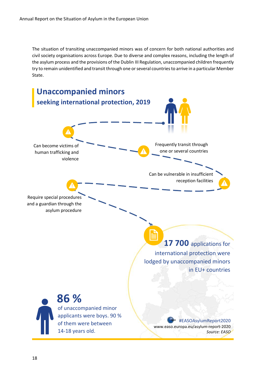The situation of transiting unaccompanied minors was of concern for both national authorities and civil society organisations across Europe. Due to diverse and complex reasons, including the length of the asylum process and the provisions of the Dublin III Regulation, unaccompanied children frequently try to remain unidentified and transit through one or several countries to arrive in a particular Member State.

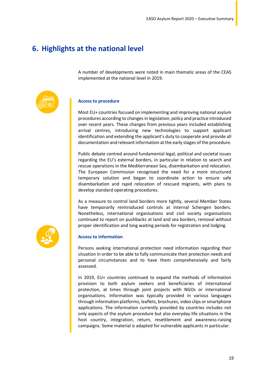## **6. Highlights at the national level**

A number of developments were noted in main thematic areas of the CEAS implemented at the national level in 2019.



#### **Access to procedure**

Most EU+ countries focused on implementing and improving national asylum procedures according to changes in legislation, policy and practice introduced over recent years. These changes from previous years included establishing arrival centres, introducing new technologies to support applicant identification and extending the applicant's duty to cooperate and provide all documentation and relevant information at the early stages of the procedure.

Public debate centred around fundamental legal, political and societal issues regarding the EU's external borders, in particular in relation to search and rescue operations in the Mediterranean Sea, disembarkation and relocation. The European Commission recognised the need for a more structured temporary solution and began to coordinate action to ensure safe disembarkation and rapid relocation of rescued migrants, with plans to develop standard operating procedures.

As a measure to control land borders more tightly, several Member States have temporarily reintroduced controls at internal Schengen borders. Nonetheless, international organisations and civil society organisations continued to report on pushbacks at land and sea borders, removal without proper identification and long waiting periods for registration and lodging.



#### **Access to information**

Persons seeking international protection need information regarding their situation in order to be able to fully communicate their protection needs and personal circumstances and to have them comprehensively and fairly assessed.

In 2019, EU+ countries continued to expand the methods of information provision to both asylum seekers and beneficiaries of international protection, at times through joint projects with NGOs or international organisations. Information was typically provided in various languages through information platforms, leaflets, brochures, video clips or smartphone applications. The information currently provided by countries includes not only aspects of the asylum procedure but also everyday life situations in the host country, integration, return, resettlement and awareness-raising campaigns. Some material is adapted for vulnerable applicants in particular.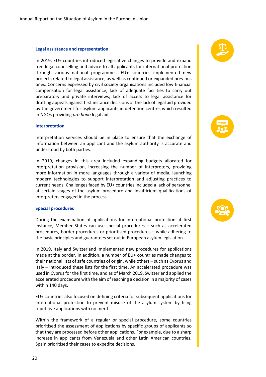#### **Legal assistance and representation**

In 2019, EU+ countries introduced legislative changes to provide and expand free legal counselling and advice to all applicants for international protection through various national programmes. EU+ countries implemented new projects related to legal assistance, as well as continued or expanded previous ones. Concerns expressed by civil society organisations included low financial compensation for legal assistance; lack of adequate facilities to carry out preparatory and private interviews; lack of access to legal assistance for drafting appeals against first instance decisions or the lack of legal aid provided by the government for asylum applicants in detention centres which resulted in NGOs providing *pro bono* legal aid.

#### **Interpretation**

Interpretation services should be in place to ensure that the exchange of information between an applicant and the asylum authority is accurate and understood by both parties.

In 2019, changes in this area included expanding budgets allocated for interpretation provision, increasing the number of interpreters, providing more information in more languages through a variety of media, launching modern technologies to support interpretation and adjusting practices to current needs. Challenges faced by EU+ countries included a lack of personnel at certain stages of the asylum procedure and insufficient qualifications of interpreters engaged in the process.

#### **Special procedures**

During the examination of applications for international protection at first instance, Member States can use special procedures – such as accelerated procedures, border procedures or prioritised procedures – while adhering to the basic principles and guarantees set out in European asylum legislation.

In 2019, Italy and Switzerland implemented new procedures for applications made at the border. In addition, a number of EU+ countries made changes to their national lists of safe countries of origin, while others – such as Cyprus and Italy – introduced these lists for the first time. An accelerated procedure was used in Cyprus for the first time, and as of March 2019, Switzerland applied the accelerated procedure with the aim of reaching a decision in a majority of cases within 140 days.

EU+ countries also focused on defining criteria for subsequent applications for international protection to prevent misuse of the asylum system by filing repetitive applications with no merit.

Within the framework of a regular or special procedure, some countries prioritised the assessment of applications by specific groups of applicants so that they are processed before other applications. For example, due to a sharp increase in applicants from Venezuela and other Latin American countries, Spain prioritised their cases to expedite decisions.





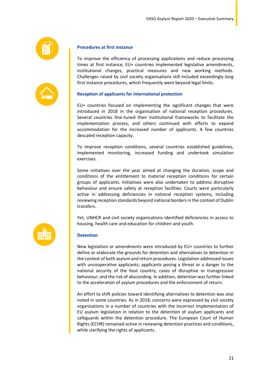| . . |  |
|-----|--|
| _   |  |



**D**

#### **Procedures at first instance**

To improve the efficiency of processing applications and reduce processing times at first instance, EU+ countries implemented legislative amendments, institutional changes, practical measures and new working methods. Challenges raised by civil society organisations still included exceedingly long first instance procedures, which frequently went beyond legal limits.

#### **Reception of applicants for international protection**

EU+ countries focused on implementing the significant changes that were introduced in 2018 in the organisation of national reception procedures. Several countries fine-tuned their institutional frameworks to facilitate the implementation process, and others continued with efforts to expand accommodation for the increased number of applicants. A few countries descaled reception capacity.

To improve reception conditions, several countries established guidelines, implemented monitoring, increased funding and undertook simulation exercises.

Some initiatives over the year aimed at changing the duration, scope and conditions of the entitlement to material reception conditions for certain groups of applicants. Initiatives were also undertaken to address disruptive behaviour and ensure safety at reception facilities. Courts were particularly active in addressing deficiencies in national reception systems, including reviewing reception standards beyond national borders in the context of Dublin transfers.

Yet, UNHCR and civil society organisations identified deficiencies in access to housing, health care and education for children and youth.

#### **Detention**

New legislation or amendments were introduced by EU+ countries to further define or elaborate the grounds for detention and alternatives to detention in the context of both asylum and return procedures. Legislation addressed issues with uncooperative applicants; applicants posing a threat or a danger to the national security of the host country; cases of disruptive or transgressive behaviour; and the risk of absconding. In addition, detention was further linked to the acceleration of asylum procedures and the enforcement of return.

An effort to shift policies toward identifying alternatives to detention was also noted in some countries. As in 2018, concerns were expressed by civil society organisations in a number of countries with the incorrect implementation of EU asylum legislation in relation to the detention of asylum applicants and safeguards within the detention procedure. The European Court of Human Rights (ECHR) remained active in reviewing detention practices and conditions, while clarifying the rights of applicants.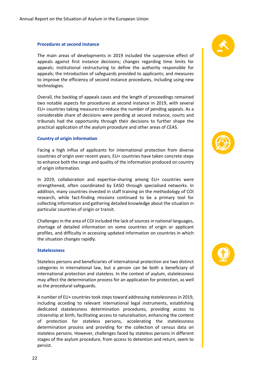#### **Procedures at second instance**

The main areas of developments in 2019 included the suspensive effect of appeals against first instance decisions; changes regarding time limits for appeals; institutional restructuring to define the authority responsible for appeals; the introduction of safeguards provided to applicants; and measures to improve the efficiency of second instance procedures, including using new technologies.

Overall, the backlog of appeals cases and the length of proceedings remained two notable aspects for procedures at second instance in 2019, with several EU+ countries taking measures to reduce the number of pending appeals. As a considerable share of decisions were pending at second instance, courts and tribunals had the opportunity through their decisions to further shape the practical application of the asylum procedure and other areas of CEAS.

#### **Country of origin information**

Facing a high influx of applicants for international protection from diverse countries of origin over recent years, EU+ countries have taken concrete steps to enhance both the range and quality of the information produced on country of origin information.

In 2019, collaboration and expertise-sharing among EU+ countries were strengthened, often coordinated by EASO through specialised networks. In addition, many countries invested in staff training on the methodology of COI research, while fact-finding missions continued to be a primary tool for collecting information and gathering detailed knowledge about the situation in particular countries of origin or transit.

Challenges in the area of COI included the lack of sources in national languages, shortage of detailed information on some countries of origin or applicant profiles, and difficulty in accessing updated information on countries in which the situation changes rapidly.

#### **Statelessness**

Stateless persons and beneficiaries of international protection are two distinct categories in international law, but a person can be both a beneficiary of international protection and stateless. In the context of asylum, statelessness may affect the determination process for an application for protection, as well as the procedural safeguards.

A number of EU+ countries took steps toward addressing statelessness in 2019, including acceding to relevant international legal instruments, establishing dedicated statelessness determination procedures, providing access to citizenship at birth, facilitating access to naturalisation, enhancing the content of protection for stateless persons, accelerating the statelessness determination process and providing for the collection of census data on stateless persons. However, challenges faced by stateless persons in different stages of the asylum procedure, from access to detention and return, seem to persist.





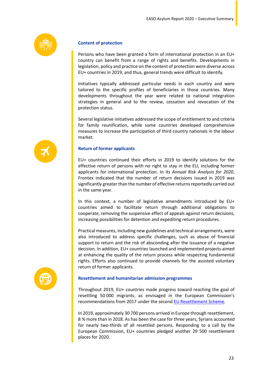

#### **Content of protection**

Persons who have been granted a form of international protection in an EU+ country can benefit from a range of rights and benefits. Developments in legislation, policy and practice on the content of protection were diverse across EU+ countries in 2019, and thus, general trends were difficult to identify.

Initiatives typically addressed particular needs in each country and were tailored to the specific profiles of beneficiaries in those countries. Many developments throughout the year were related to national integration strategies in general and to the review, cessation and revocation of the protection status.

Several legislative initiatives addressed the scope of entitlement to and criteria for family reunification, while some countries developed comprehensive measures to increase the participation of third country nationals in the labour market.

#### **Return of former applicants**

EU+ countries continued their efforts in 2019 to identify solutions for the effective return of persons with no right to stay in the EU, including former applicants for international protection. In its *Annual Risk Analysis for 2020*, Frontex indicated that the number of return decisions issued in 2019 was significantly greaterthan the number of effective returns reportedly carried out in the same year.

In this context, a number of legislative amendments introduced by EU+ countries aimed to facilitate return through additional obligations to cooperate, removing the suspensive effect of appeals against return decisions, increasing possibilities for detention and expediting return procedures.

Practical measures, including new guidelines and technical arrangements, were also introduced to address specific challenges, such as abuse of financial support to return and the risk of absconding after the issuance of a negative decision. In addition, EU+ countries launched and implemented projects aimed at enhancing the quality of the return process while respecting fundamental rights. Efforts also continued to provide channels for the assisted voluntary return of former applicants.



#### **Resettlement and humanitarian admission programmes**

Throughout 2019, EU+ countries made progress toward reaching the goal of resettling 50 000 migrants, as envisaged in the European Commission's recommendations from 2017 under the second [EU Resettlement Scheme.](https://ec.europa.eu/home-affairs/sites/homeaffairs/files/what-we-do/policies/european-agenda-migration/201912_delivering-on-resettlement.pdf)

In 2019, approximately 30 700 persons arrived in Europe through resettlement, 8 % more than in 2018. As has been the case for three years, Syrians accounted for nearly two-thirds of all resettled persons. Responding to a call by the European Commission, EU+ countries pledged another 29 500 resettlement places for 2020.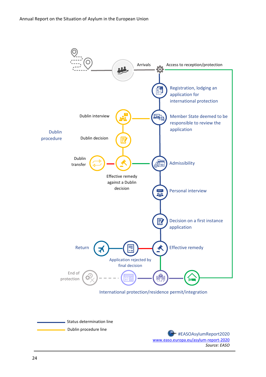

*Source: EASO*

 $\overline{a}$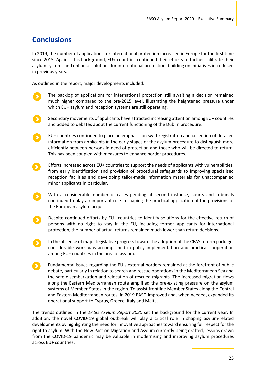## **Conclusions**

In 2019, the number of applications for international protection increased in Europe for the first time since 2015. Against this background, EU+ countries continued their efforts to further calibrate their asylum systems and enhance solutions for international protection, building on initiatives introduced in previous years.

As outlined in the report, major developments included:

The backlog of applications for international protection still awaiting a decision remained much higher compared to the pre-2015 level, illustrating the heightened pressure under which EU+ asylum and reception systems are still operating.



Secondary movements of applicants have attracted increasing attention among EU+ countries and added to debates about the current functioning of the Dublin procedure.

EU+ countries continued to place an emphasis on swift registration and collection of detailed information from applicants in the early stages of the asylum procedure to distinguish more efficiently between persons in need of protection and those who will be directed to return. This has been coupled with measures to enhance border procedures.

 $\rightarrow$ 

Efforts increased across EU+ countries to support the needs of applicants with vulnerabilities, from early identification and provision of procedural safeguards to improving specialised reception facilities and developing tailor-made information materials for unaccompanied minor applicants in particular.

With a considerable number of cases pending at second instance, courts and tribunals continued to play an important role in shaping the practical application of the provisions of the European asylum acquis.

Despite continued efforts by EU+ countries to identify solutions for the effective return of persons with no right to stay in the EU, including former applicants for international protection, the number of actual returns remained much lower than return decisions.

In the absence of major legislative progress toward the adoption of the CEAS reform package, considerable work was accomplished in policy implementation and practical cooperation among EU+ countries in the area of asylum.

Fundamental issues regarding the EU's external borders remained at the forefront of public debate, particularly in relation to search and rescue operations in the Mediterranean Sea and the safe disembarkation and relocation of rescued migrants. The increased migration flows along the Eastern Mediterranean route amplified the pre-existing pressure on the asylum systems of Member States in the region. To assist frontline Member States along the Central and Eastern Mediterranean routes, in 2019 EASO improved and, when needed, expanded its operational support to Cyprus, Greece, Italy and Malta.

The trends outlined in the *EASO Asylum Report 2020* set the background for the current year. In addition, the novel COVID-19 global outbreak will play a critical role in shaping asylum-related developments by highlighting the need for innovative approaches toward ensuring full respect for the right to asylum. With the New Pact on Migration and Asylum currently being drafted, lessons drawn from the COVID-19 pandemic may be valuable in modernising and improving asylum procedures across EU+ countries.